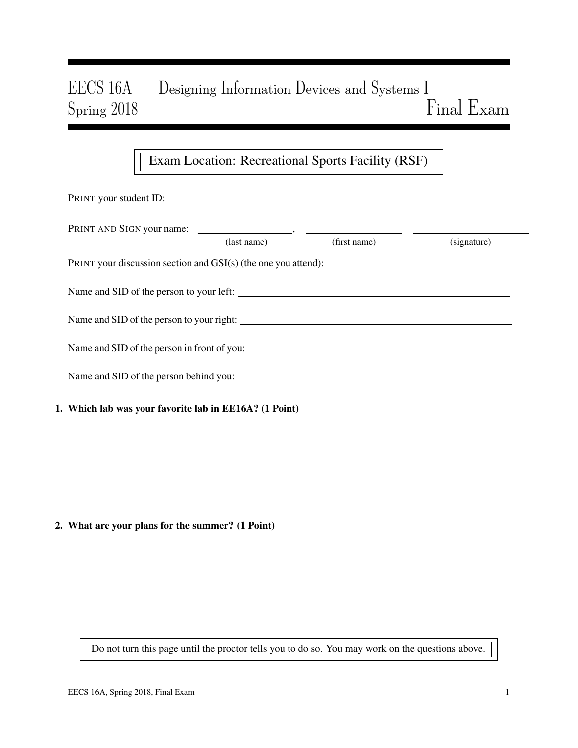# EECS 16A Designing Information Devices and Systems I Spring 2018 Final Exam

## Exam Location: Recreational Sports Facility (RSF)

| PRINT your student ID:                                 |                      |              |             |  |  |  |
|--------------------------------------------------------|----------------------|--------------|-------------|--|--|--|
|                                                        | $\text{(last name)}$ | (first name) | (signature) |  |  |  |
|                                                        |                      |              |             |  |  |  |
|                                                        |                      |              |             |  |  |  |
|                                                        |                      |              |             |  |  |  |
|                                                        |                      |              |             |  |  |  |
| Name and SID of the person behind you:                 |                      |              |             |  |  |  |
| 1. Which lab was your favorite lab in EE16A? (1 Point) |                      |              |             |  |  |  |

#### 2. What are your plans for the summer? (1 Point)

Do not turn this page until the proctor tells you to do so. You may work on the questions above.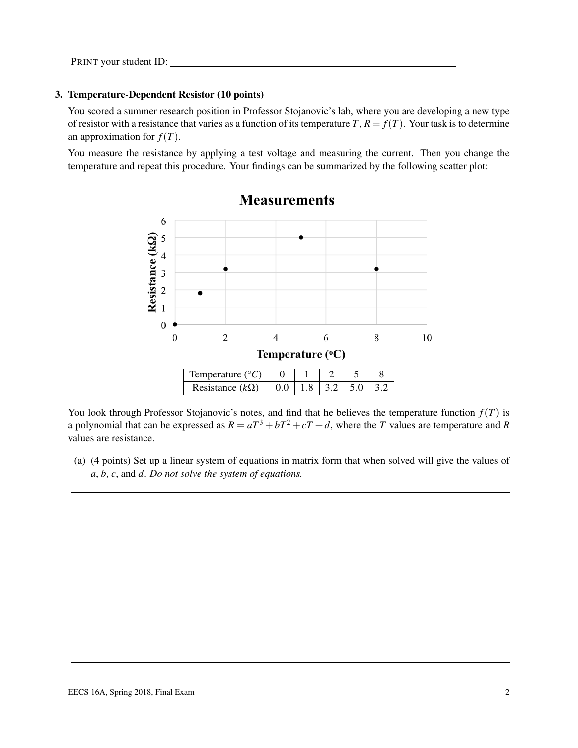#### 3. Temperature-Dependent Resistor (10 points)

You scored a summer research position in Professor Stojanovic's lab, where you are developing a new type of resistor with a resistance that varies as a function of its temperature  $T$ ,  $R = f(T)$ . Your task is to determine an approximation for  $f(T)$ .

You measure the resistance by applying a test voltage and measuring the current. Then you change the temperature and repeat this procedure. Your findings can be summarized by the following scatter plot:



**Measurements** 

You look through Professor Stojanovic's notes, and find that he believes the temperature function  $f(T)$  is a polynomial that can be expressed as  $R = aT^3 + bT^2 + cT + d$ , where the *T* values are temperature and *R* values are resistance.

(a) (4 points) Set up a linear system of equations in matrix form that when solved will give the values of *a*, *b*, *c*, and *d*. *Do not solve the system of equations.*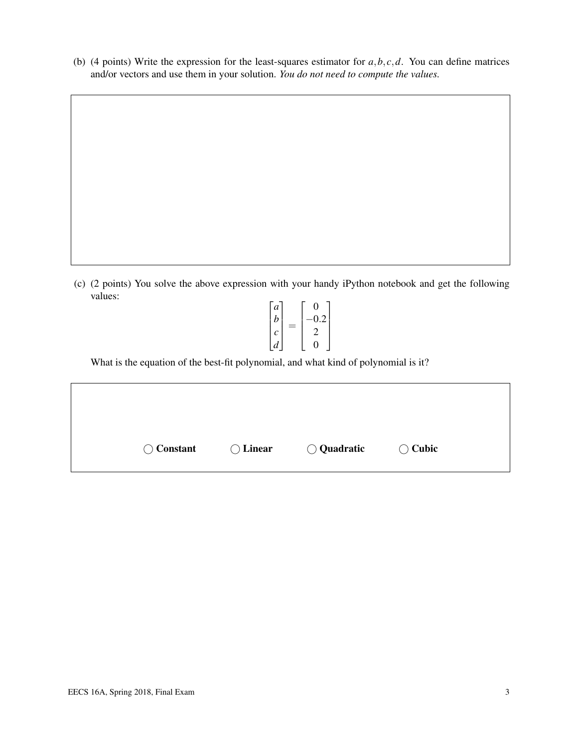(b) (4 points) Write the expression for the least-squares estimator for  $a, b, c, d$ . You can define matrices and/or vectors and use them in your solution. *You do not need to compute the values.*

(c) (2 points) You solve the above expression with your handy iPython notebook and get the following values:

$$
\begin{bmatrix} a \\ b \\ c \\ d \end{bmatrix} = \begin{bmatrix} 0 \\ -0.2 \\ 2 \\ 0 \end{bmatrix}
$$

What is the equation of the best-fit polynomial, and what kind of polynomial is it?

| $\bigcirc$ Constant | $\bigcirc$ Linear | $\bigcirc$ Quadratic | $\bigcirc$ Cubic |
|---------------------|-------------------|----------------------|------------------|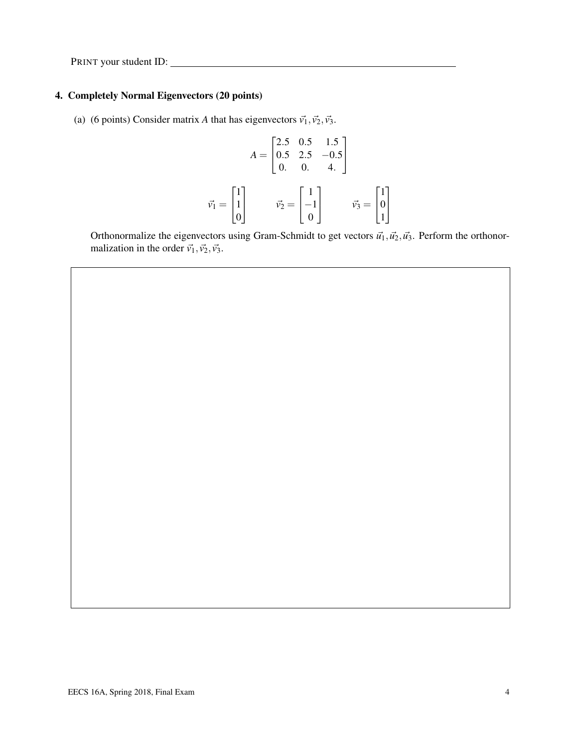PRINT your student ID:

### 4. Completely Normal Eigenvectors (20 points)

(a) (6 points) Consider matrix *A* that has eigenvectors  $\vec{v_1}, \vec{v_2}, \vec{v_3}$ .

$$
A = \begin{bmatrix} 2.5 & 0.5 & 1.5 \\ 0.5 & 2.5 & -0.5 \\ 0 & 0 & 4. \end{bmatrix}
$$

$$
\vec{v_1} = \begin{bmatrix} 1 \\ 1 \\ 0 \end{bmatrix} \qquad \vec{v_2} = \begin{bmatrix} 1 \\ -1 \\ 0 \end{bmatrix} \qquad \vec{v_3} = \begin{bmatrix} 1 \\ 0 \\ 1 \end{bmatrix}
$$

Orthonormalize the eigenvectors using Gram-Schmidt to get vectors  $\vec{u}_1, \vec{u}_2, \vec{u}_3$ . Perform the orthonormalization in the order  $\vec{v_1}, \vec{v_2}, \vec{v_3}$ .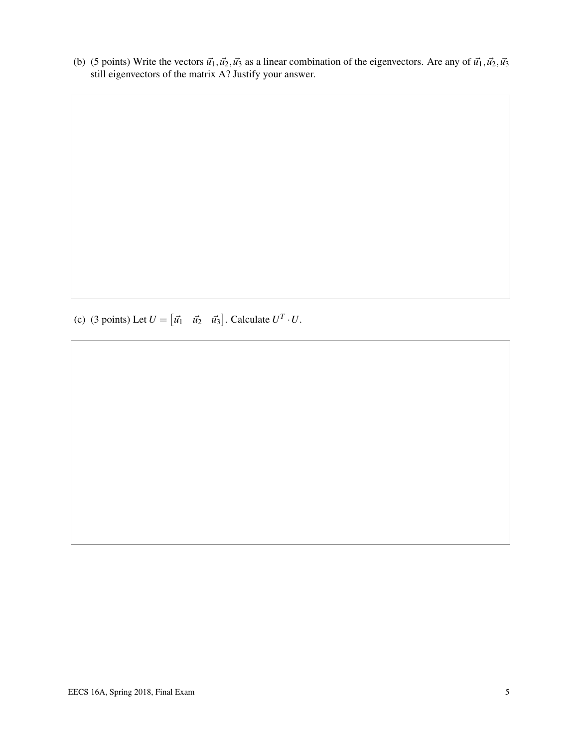(b) (5 points) Write the vectors  $\vec{u_1}$ ,  $\vec{u_2}$ ,  $\vec{u_3}$  as a linear combination of the eigenvectors. Are any of  $\vec{u_1}$ ,  $\vec{u_2}$ ,  $\vec{u_3}$ still eigenvectors of the matrix A? Justify your answer.

(c) (3 points) Let  $U = \begin{bmatrix} \vec{u_1} & \vec{u_2} & \vec{u_3} \end{bmatrix}$ . Calculate  $U^T \cdot U$ .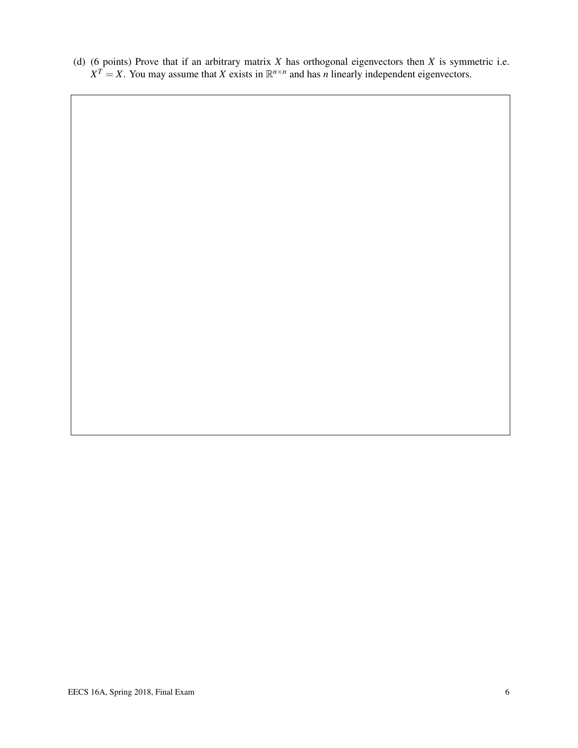(d) (6 points) Prove that if an arbitrary matrix *X* has orthogonal eigenvectors then *X* is symmetric i.e.  $X^T = X$ . You may assume that *X* exists in  $\mathbb{R}^{n \times n}$  and has *n* linearly independent eigenvectors.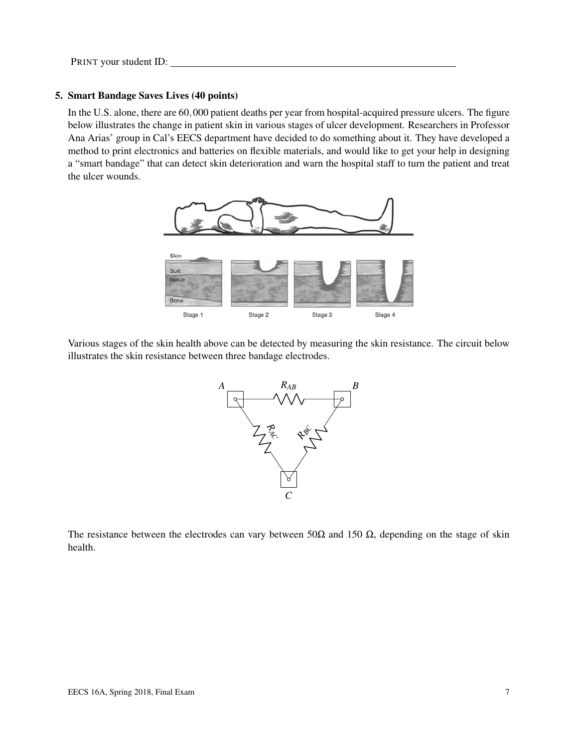#### 5. Smart Bandage Saves Lives (40 points)

In the U.S. alone, there are 60,000 patient deaths per year from hospital-acquired pressure ulcers. The figure below illustrates the change in patient skin in various stages of ulcer development. Researchers in Professor Ana Arias' group in Cal's EECS department have decided to do something about it. They have developed a method to print electronics and batteries on flexible materials, and would like to get your help in designing a "smart bandage" that can detect skin deterioration and warn the hospital staff to turn the patient and treat the ulcer wounds.



Various stages of the skin health above can be detected by measuring the skin resistance. The circuit below illustrates the skin resistance between three bandage electrodes.



The resistance between the electrodes can vary between 50 $\Omega$  and 150  $\Omega$ , depending on the stage of skin health.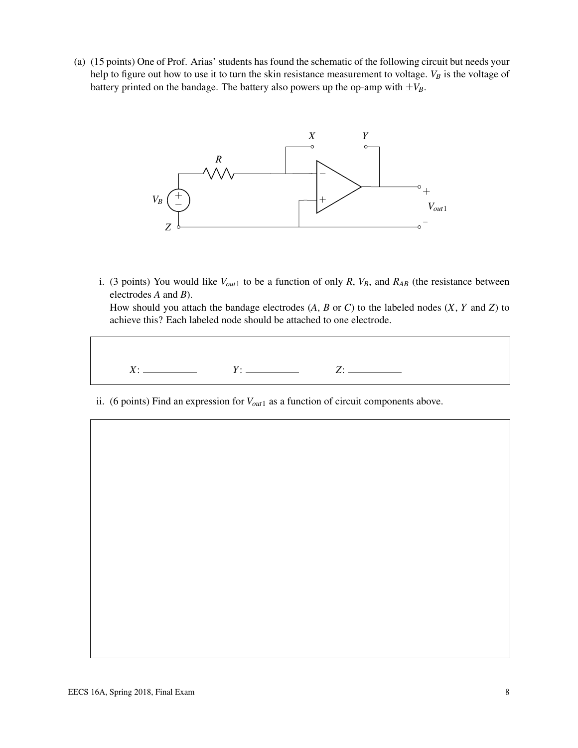(a) (15 points) One of Prof. Arias' students has found the schematic of the following circuit but needs your help to figure out how to use it to turn the skin resistance measurement to voltage.  $V_B$  is the voltage of battery printed on the bandage. The battery also powers up the op-amp with  $\pm V_B$ .



i. (3 points) You would like  $V_{out1}$  to be a function of only *R*,  $V_B$ , and  $R_{AB}$  (the resistance between electrodes *A* and *B*).

How should you attach the bandage electrodes (*A*, *B* or *C*) to the labeled nodes (*X*, *Y* and *Z*) to achieve this? Each labeled node should be attached to one electrode.



ii. (6 points) Find an expression for *Vout*<sup>1</sup> as a function of circuit components above.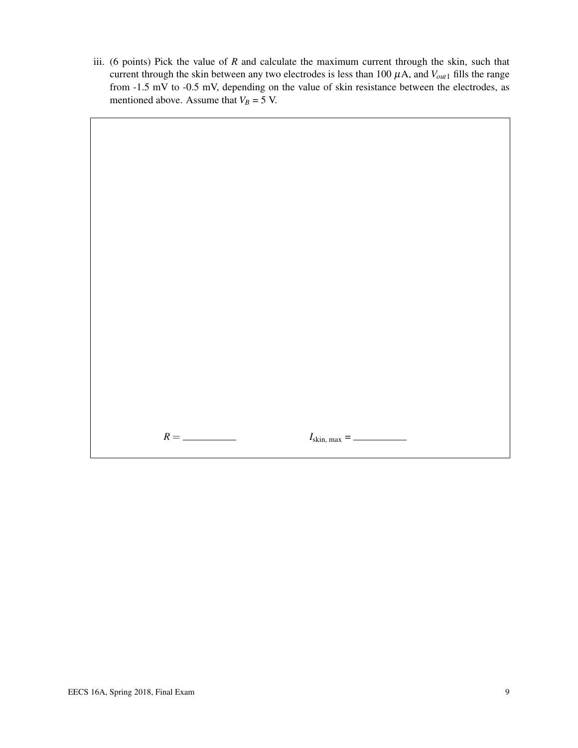iii. (6 points) Pick the value of *R* and calculate the maximum current through the skin, such that current through the skin between any two electrodes is less than 100  $\mu$ A, and  $V_{out1}$  fills the range from -1.5 mV to -0.5 mV, depending on the value of skin resistance between the electrodes, as mentioned above. Assume that  $V_B = 5$  V.

 $R = \_$  *I*skin, max =  $\_$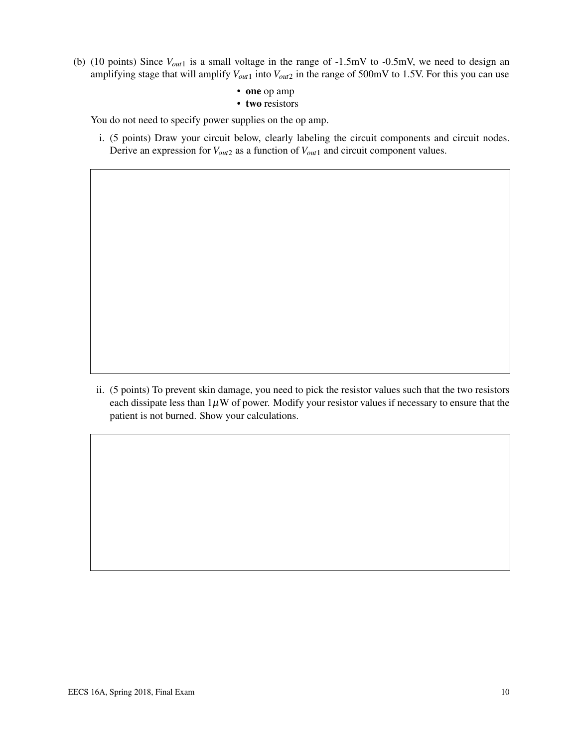- (b) (10 points) Since *Vout*<sup>1</sup> is a small voltage in the range of -1.5mV to -0.5mV, we need to design an amplifying stage that will amplify  $V_{out1}$  into  $V_{out2}$  in the range of 500mV to 1.5V. For this you can use
	- one op amp
	- two resistors

You do not need to specify power supplies on the op amp.

i. (5 points) Draw your circuit below, clearly labeling the circuit components and circuit nodes. Derive an expression for *Vout*<sup>2</sup> as a function of *Vout*<sup>1</sup> and circuit component values.

ii. (5 points) To prevent skin damage, you need to pick the resistor values such that the two resistors each dissipate less than  $1\mu$ W of power. Modify your resistor values if necessary to ensure that the patient is not burned. Show your calculations.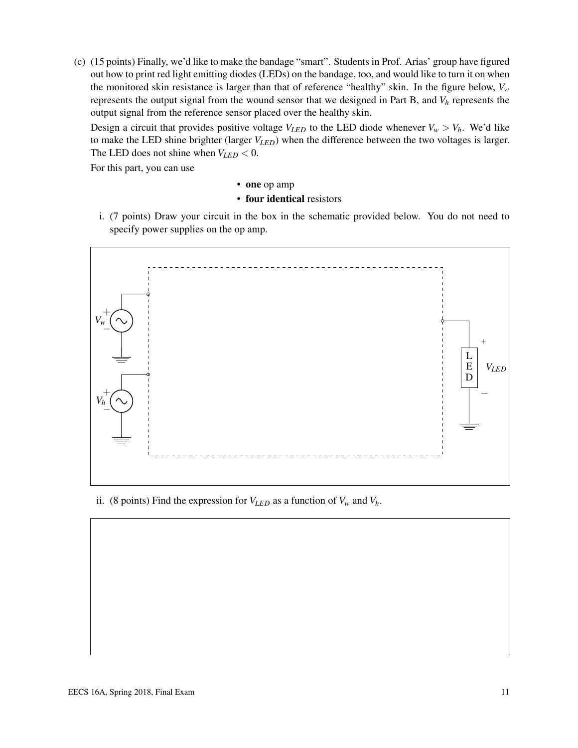(c) (15 points) Finally, we'd like to make the bandage "smart". Students in Prof. Arias' group have figured out how to print red light emitting diodes (LEDs) on the bandage, too, and would like to turn it on when the monitored skin resistance is larger than that of reference "healthy" skin. In the figure below, *V<sup>w</sup>* represents the output signal from the wound sensor that we designed in Part B, and *V<sup>h</sup>* represents the output signal from the reference sensor placed over the healthy skin.

Design a circuit that provides positive voltage  $V_{LED}$  to the LED diode whenever  $V_w > V_h$ . We'd like to make the LED shine brighter (larger *VLED*) when the difference between the two voltages is larger. The LED does not shine when  $V_{LED} < 0$ .

For this part, you can use

- one op amp
- four identical resistors
- i. (7 points) Draw your circuit in the box in the schematic provided below. You do not need to specify power supplies on the op amp.



ii. (8 points) Find the expression for  $V_{LED}$  as a function of  $V_w$  and  $V_h$ .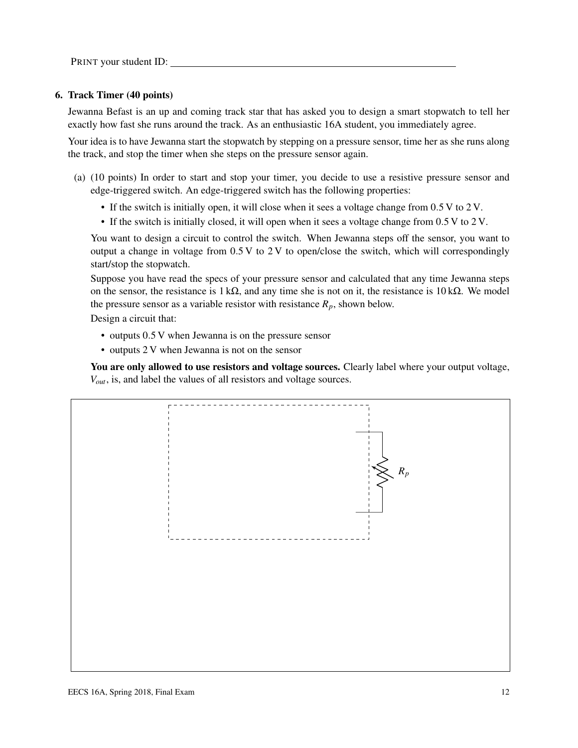#### 6. Track Timer (40 points)

Jewanna Befast is an up and coming track star that has asked you to design a smart stopwatch to tell her exactly how fast she runs around the track. As an enthusiastic 16A student, you immediately agree.

Your idea is to have Jewanna start the stopwatch by stepping on a pressure sensor, time her as she runs along the track, and stop the timer when she steps on the pressure sensor again.

- (a) (10 points) In order to start and stop your timer, you decide to use a resistive pressure sensor and edge-triggered switch. An edge-triggered switch has the following properties:
	- If the switch is initially open, it will close when it sees a voltage change from 0.5 V to 2 V.
	- If the switch is initially closed, it will open when it sees a voltage change from 0.5 V to 2 V.

You want to design a circuit to control the switch. When Jewanna steps off the sensor, you want to output a change in voltage from  $0.5 V$  to  $2 V$  to open/close the switch, which will correspondingly start/stop the stopwatch.

Suppose you have read the specs of your pressure sensor and calculated that any time Jewanna steps on the sensor, the resistance is  $1 \text{ k}\Omega$ , and any time she is not on it, the resistance is  $10 \text{ k}\Omega$ . We model the pressure sensor as a variable resistor with resistance  $R_p$ , shown below.

Design a circuit that:

- outputs 0.5 V when Jewanna is on the pressure sensor
- outputs 2 V when Jewanna is not on the sensor

You are only allowed to use resistors and voltage sources. Clearly label where your output voltage, *Vout*, is, and label the values of all resistors and voltage sources.

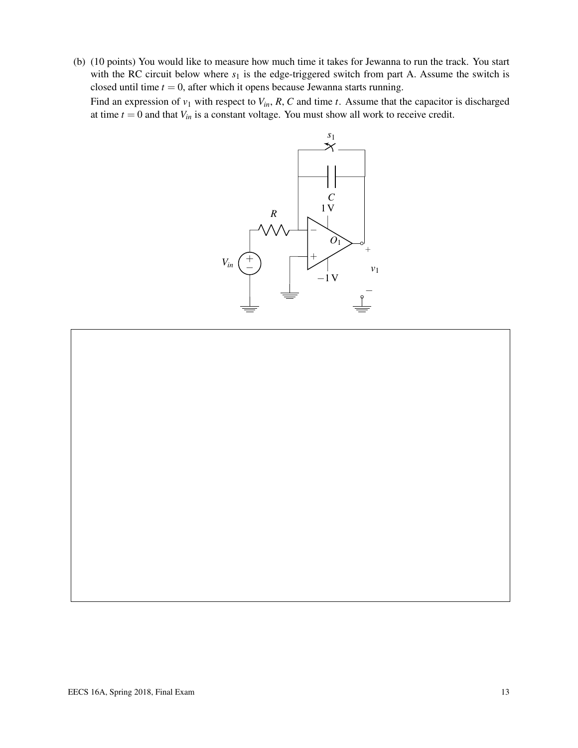(b) (10 points) You would like to measure how much time it takes for Jewanna to run the track. You start with the RC circuit below where  $s_1$  is the edge-triggered switch from part A. Assume the switch is closed until time  $t = 0$ , after which it opens because Jewanna starts running.

Find an expression of  $v_1$  with respect to  $V_{in}$ ,  $R$ ,  $C$  and time  $t$ . Assume that the capacitor is discharged at time  $t = 0$  and that  $V_{in}$  is a constant voltage. You must show all work to receive credit.



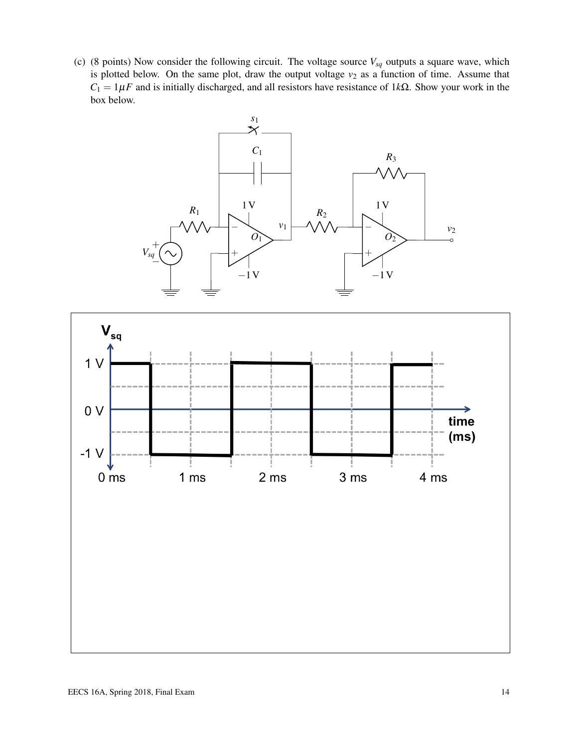(c) (8 points) Now consider the following circuit. The voltage source  $V_{sq}$  outputs a square wave, which is plotted below. On the same plot, draw the output voltage  $v_2$  as a function of time. Assume that  $C_1 = 1 \mu F$  and is initially discharged, and all resistors have resistance of 1 $k\Omega$ . Show your work in the box below.



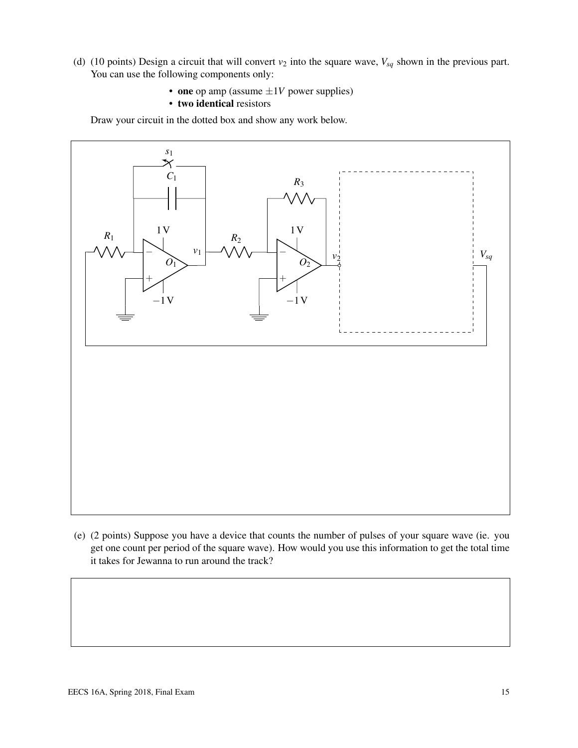- (d) (10 points) Design a circuit that will convert  $v_2$  into the square wave,  $V_{sq}$  shown in the previous part. You can use the following components only:
	- one op amp (assume  $\pm 1V$  power supplies)
	- two identical resistors

Draw your circuit in the dotted box and show any work below.



(e) (2 points) Suppose you have a device that counts the number of pulses of your square wave (ie. you get one count per period of the square wave). How would you use this information to get the total time it takes for Jewanna to run around the track?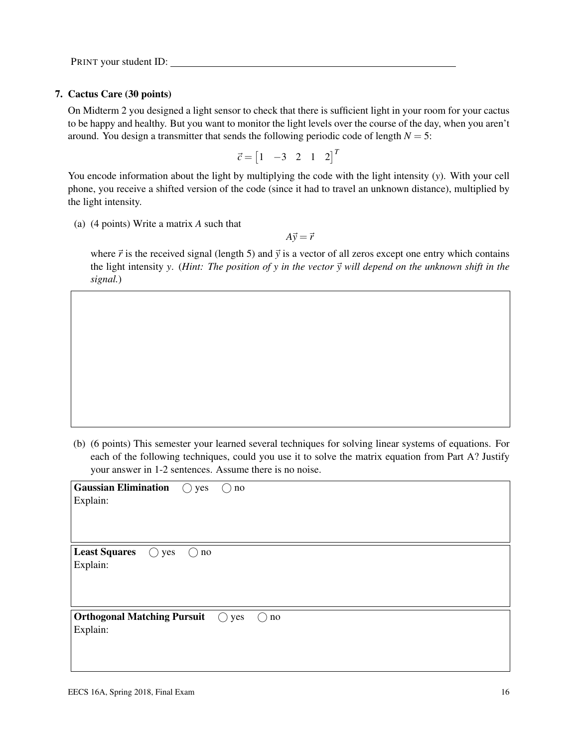PRINT your student ID:

#### 7. Cactus Care (30 points)

On Midterm 2 you designed a light sensor to check that there is sufficient light in your room for your cactus to be happy and healthy. But you want to monitor the light levels over the course of the day, when you aren't around. You design a transmitter that sends the following periodic code of length  $N = 5$ :

$$
\vec{c} = \begin{bmatrix} 1 & -3 & 2 & 1 & 2 \end{bmatrix}^T
$$

You encode information about the light by multiplying the code with the light intensity (*y*). With your cell phone, you receive a shifted version of the code (since it had to travel an unknown distance), multiplied by the light intensity.

(a) (4 points) Write a matrix *A* such that

 $A\vec{y} = \vec{r}$ 

where  $\vec{r}$  is the received signal (length 5) and  $\vec{y}$  is a vector of all zeros except one entry which contains the light intensity *y*. (*Hint: The position of y in the vector*  $\vec{y}$  will depend on the unknown shift in the *signal.*)

(b) (6 points) This semester your learned several techniques for solving linear systems of equations. For each of the following techniques, could you use it to solve the matrix equation from Part A? Justify your answer in 1-2 sentences. Assume there is no noise.

| <b>Gaussian Elimination</b> $\bigcirc$ yes<br>$\bigcirc$ no     |
|-----------------------------------------------------------------|
| Explain:                                                        |
|                                                                 |
|                                                                 |
| <b>Least Squares</b><br>$\bigcirc$ yes<br>$\bigcap$<br>no       |
| Explain:                                                        |
|                                                                 |
|                                                                 |
| <b>Orthogonal Matching Pursuit</b> $\bigcirc$ yes $\bigcirc$ no |
| Explain:                                                        |
|                                                                 |
|                                                                 |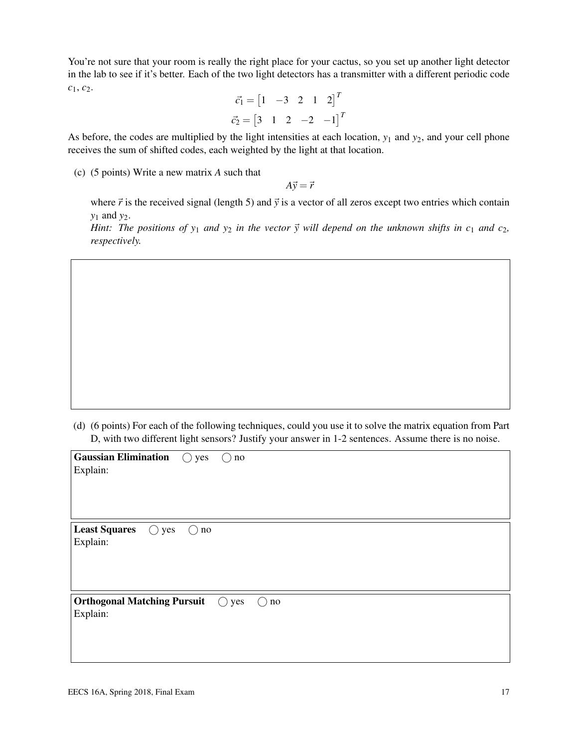You're not sure that your room is really the right place for your cactus, so you set up another light detector in the lab to see if it's better. Each of the two light detectors has a transmitter with a different periodic code *c*1, *c*2.

$$
\vec{c_1} = \begin{bmatrix} 1 & -3 & 2 & 1 & 2 \end{bmatrix}^T
$$

$$
\vec{c_2} = \begin{bmatrix} 3 & 1 & 2 & -2 & -1 \end{bmatrix}^T
$$

As before, the codes are multiplied by the light intensities at each location, *y*<sup>1</sup> and *y*2, and your cell phone receives the sum of shifted codes, each weighted by the light at that location.

(c) (5 points) Write a new matrix *A* such that

 $A\vec{y} = \vec{r}$ 

where  $\vec{r}$  is the received signal (length 5) and  $\vec{y}$  is a vector of all zeros except two entries which contain *y*<sup>1</sup> and *y*2.

*Hint: The positions of*  $y_1$  *and*  $y_2$  *in the vector*  $\vec{y}$  *will depend on the unknown shifts in c<sub>1</sub> <i>and c*<sub>2</sub>, *respectively.*

(d) (6 points) For each of the following techniques, could you use it to solve the matrix equation from Part D, with two different light sensors? Justify your answer in 1-2 sentences. Assume there is no noise.

| <b>Gaussian Elimination</b><br>$\bigcirc$ yes<br>$\bigcirc$ no<br>Explain: |
|----------------------------------------------------------------------------|
| <b>Least Squares</b><br>$\bigcirc$ yes<br>$\rm no$<br>( )<br>Explain:      |
| <b>Orthogonal Matching Pursuit</b> () yes<br>$\rm no$<br>( )<br>Explain:   |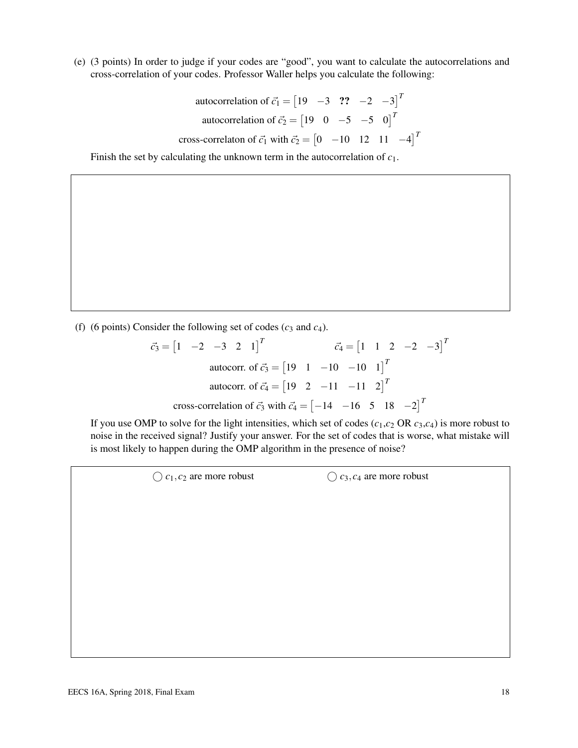(e) (3 points) In order to judge if your codes are "good", you want to calculate the autocorrelations and cross-correlation of your codes. Professor Waller helps you calculate the following:

autocorrelation of 
$$
\vec{c}_1 = \begin{bmatrix} 19 & -3 & ?? & -2 & -3 \end{bmatrix}^T
$$
  
autocorrelation of  $\vec{c}_2 = \begin{bmatrix} 19 & 0 & -5 & -5 & 0 \end{bmatrix}^T$   
cross-correlation of  $\vec{c}_1$  with  $\vec{c}_2 = \begin{bmatrix} 0 & -10 & 12 & 11 & -4 \end{bmatrix}^T$ 

Finish the set by calculating the unknown term in the autocorrelation of *c*1.

(f) (6 points) Consider the following set of codes  $(c_3 \text{ and } c_4)$ .

$$
\vec{c}_3 = \begin{bmatrix} 1 & -2 & -3 & 2 & 1 \end{bmatrix}^T
$$
\n
$$
\vec{c}_4 = \begin{bmatrix} 1 & 1 & 2 & -2 & -3 \end{bmatrix}^T
$$
\n
$$
\text{autocorr. of } \vec{c}_3 = \begin{bmatrix} 19 & 1 & -10 & -10 & 1 \end{bmatrix}^T
$$
\n
$$
\text{autocorr. of } \vec{c}_4 = \begin{bmatrix} 19 & 2 & -11 & -11 & 2 \end{bmatrix}^T
$$
\n
$$
\text{cross-correlation of } \vec{c}_3 \text{ with } \vec{c}_4 = \begin{bmatrix} -14 & -16 & 5 & 18 & -2 \end{bmatrix}^T
$$

If you use OMP to solve for the light intensities, which set of codes  $(c_1, c_2 \text{ OR } c_3, c_4)$  is more robust to noise in the received signal? Justify your answer. For the set of codes that is worse, what mistake will is most likely to happen during the OMP algorithm in the presence of noise?

 $\bigcirc$  *c*<sub>1</sub>, *c*<sub>2</sub> are more robust  $\bigcirc$  *c*<sub>3</sub>, *c*<sub>4</sub> are more robust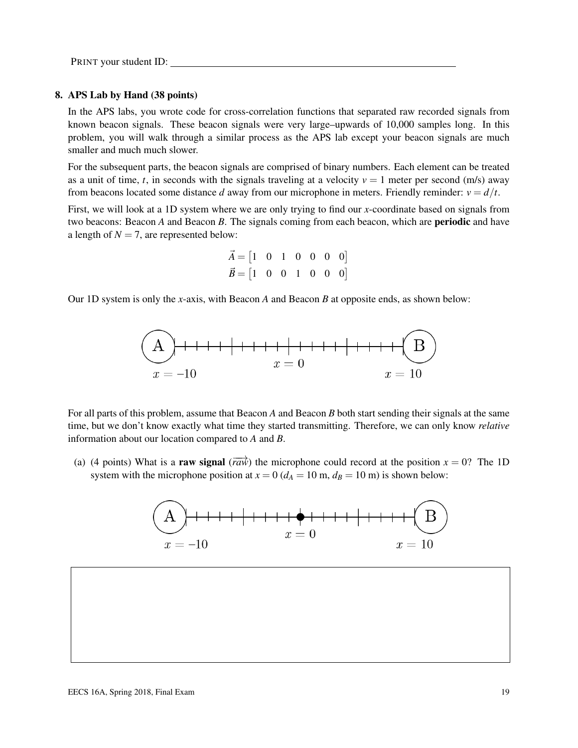PRINT your student ID:

#### 8. APS Lab by Hand (38 points)

In the APS labs, you wrote code for cross-correlation functions that separated raw recorded signals from known beacon signals. These beacon signals were very large–upwards of 10,000 samples long. In this problem, you will walk through a similar process as the APS lab except your beacon signals are much smaller and much much slower.

For the subsequent parts, the beacon signals are comprised of binary numbers. Each element can be treated as a unit of time, *t*, in seconds with the signals traveling at a velocity  $v = 1$  meter per second (m/s) away from beacons located some distance *d* away from our microphone in meters. Friendly reminder:  $v = d/t$ .

First, we will look at a 1D system where we are only trying to find our *x*-coordinate based on signals from two beacons: Beacon *A* and Beacon *B*. The signals coming from each beacon, which are periodic and have a length of  $N = 7$ , are represented below:

$$
\vec{A} = \begin{bmatrix} 1 & 0 & 1 & 0 & 0 & 0 & 0 \end{bmatrix}
$$
  

$$
\vec{B} = \begin{bmatrix} 1 & 0 & 0 & 1 & 0 & 0 & 0 \end{bmatrix}
$$

Our 1D system is only the *x*-axis, with Beacon *A* and Beacon *B* at opposite ends, as shown below:



For all parts of this problem, assume that Beacon *A* and Beacon *B* both start sending their signals at the same time, but we don't know exactly what time they started transmitting. Therefore, we can only know *relative* information about our location compared to *A* and *B*.

(a) (4 points) What is a raw signal ( $\overrightarrow{raw}$ ) the microphone could record at the position  $x = 0$ ? The 1D system with the microphone position at  $x = 0$  ( $d_A = 10$  m,  $d_B = 10$  m) is shown below:

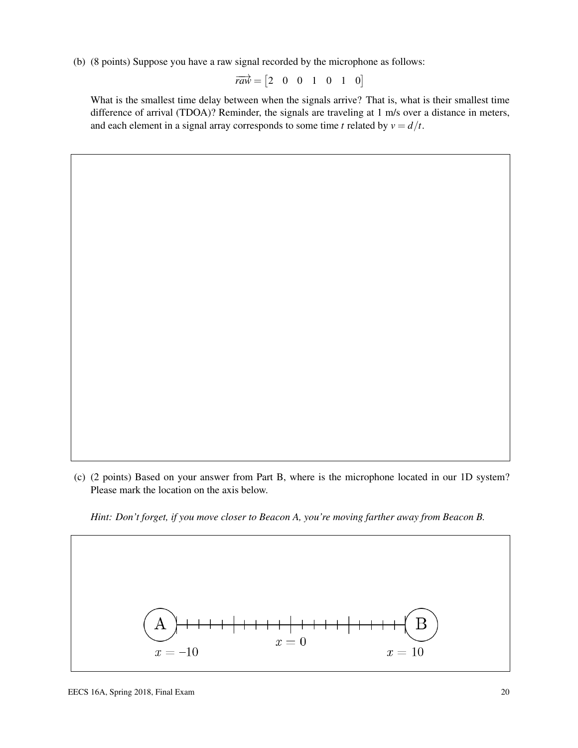(b) (8 points) Suppose you have a raw signal recorded by the microphone as follows:

$$
\overrightarrow{raw} = \begin{bmatrix} 2 & 0 & 0 & 1 & 0 & 1 & 0 \end{bmatrix}
$$

What is the smallest time delay between when the signals arrive? That is, what is their smallest time difference of arrival (TDOA)? Reminder, the signals are traveling at 1 m/s over a distance in meters, and each element in a signal array corresponds to some time *t* related by  $v = d/t$ .

(c) (2 points) Based on your answer from Part B, where is the microphone located in our 1D system? Please mark the location on the axis below.

*Hint: Don't forget, if you move closer to Beacon A, you're moving farther away from Beacon B.*

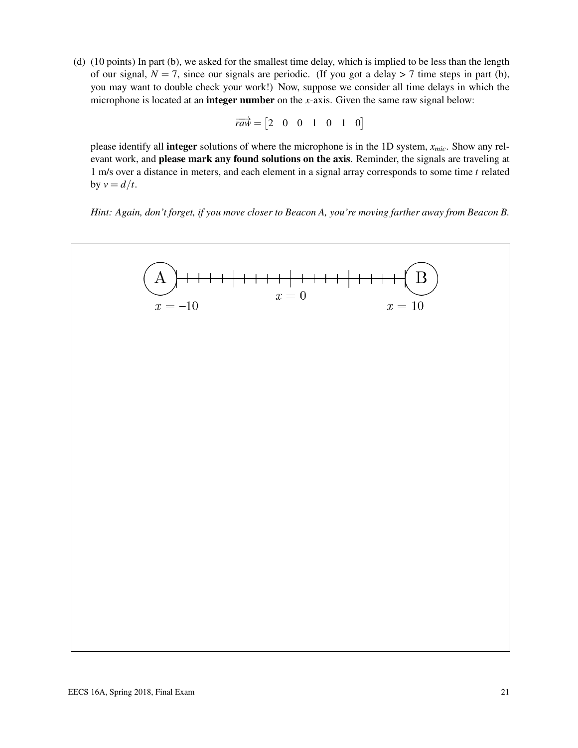(d) (10 points) In part (b), we asked for the smallest time delay, which is implied to be less than the length of our signal,  $N = 7$ , since our signals are periodic. (If you got a delay  $> 7$  time steps in part (b), you may want to double check your work!) Now, suppose we consider all time delays in which the microphone is located at an integer number on the *x*-axis. Given the same raw signal below:

$$
\overrightarrow{raw} = \begin{bmatrix} 2 & 0 & 0 & 1 & 0 & 1 & 0 \end{bmatrix}
$$

please identify all integer solutions of where the microphone is in the 1D system, *xmic*. Show any relevant work, and **please mark any found solutions on the axis**. Reminder, the signals are traveling at 1 m/s over a distance in meters, and each element in a signal array corresponds to some time *t* related by  $v = d/t$ .

*Hint: Again, don't forget, if you move closer to Beacon A, you're moving farther away from Beacon B.*

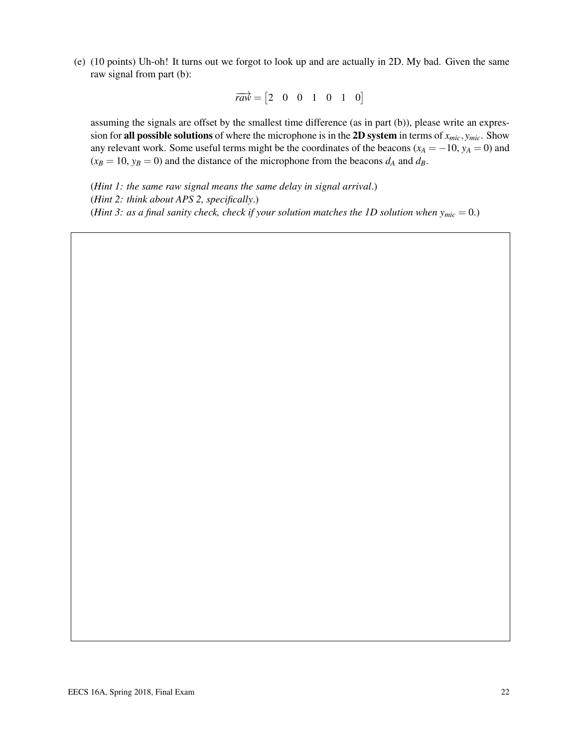(e) (10 points) Uh-oh! It turns out we forgot to look up and are actually in 2D. My bad. Given the same raw signal from part (b):

$$
\overrightarrow{raw} = \begin{bmatrix} 2 & 0 & 0 & 1 & 0 & 1 & 0 \end{bmatrix}
$$

assuming the signals are offset by the smallest time difference (as in part (b)), please write an expression for all possible solutions of where the microphone is in the 2D system in terms of  $x_{mic}$ ,  $y_{mic}$ . Show any relevant work. Some useful terms might be the coordinates of the beacons ( $x_A = -10$ ,  $y_A = 0$ ) and  $(x_B = 10, y_B = 0)$  and the distance of the microphone from the beacons  $d_A$  and  $d_B$ .

(*Hint 1: the same raw signal means the same delay in signal arrival*.) (*Hint 2: think about APS 2, specifically*.) (*Hint 3: as a final sanity check, check if your solution matches the 1D solution when*  $y_{mic} = 0$ *.*)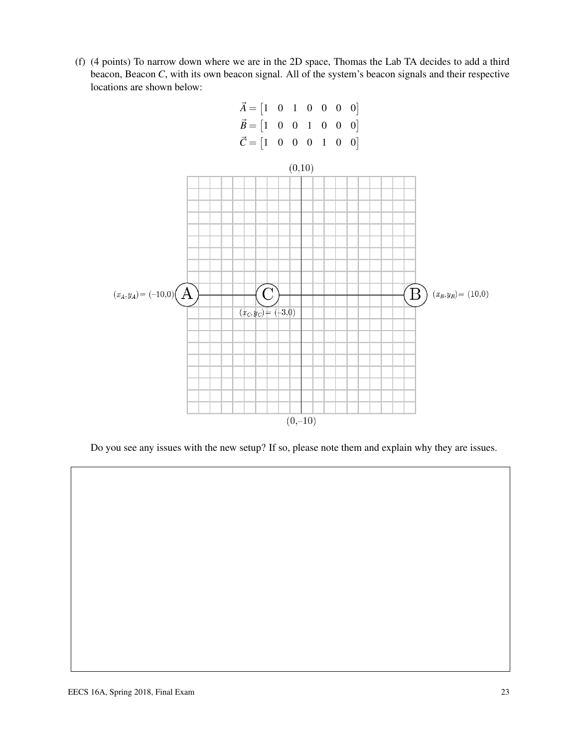(f) (4 points) To narrow down where we are in the 2D space, Thomas the Lab TA decides to add a third beacon, Beacon *C*, with its own beacon signal. All of the system's beacon signals and their respective locations are shown below:



Do you see any issues with the new setup? If so, please note them and explain why they are issues.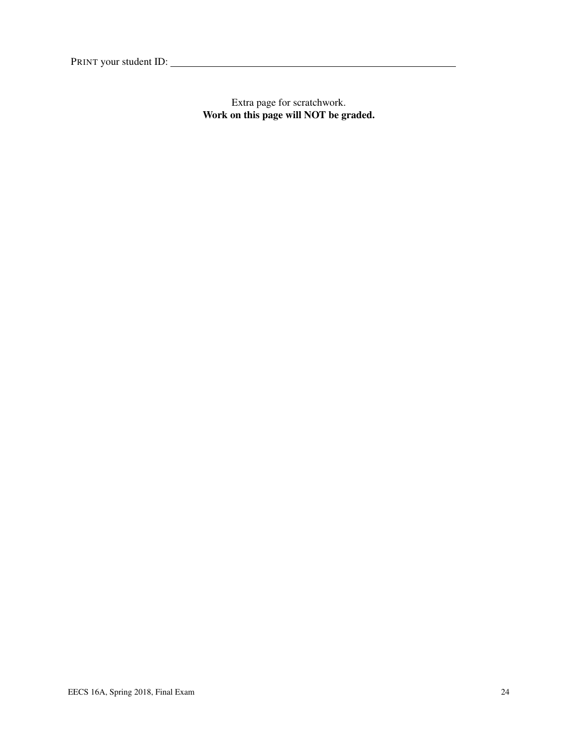PRINT your student ID:

Extra page for scratchwork. Work on this page will NOT be graded.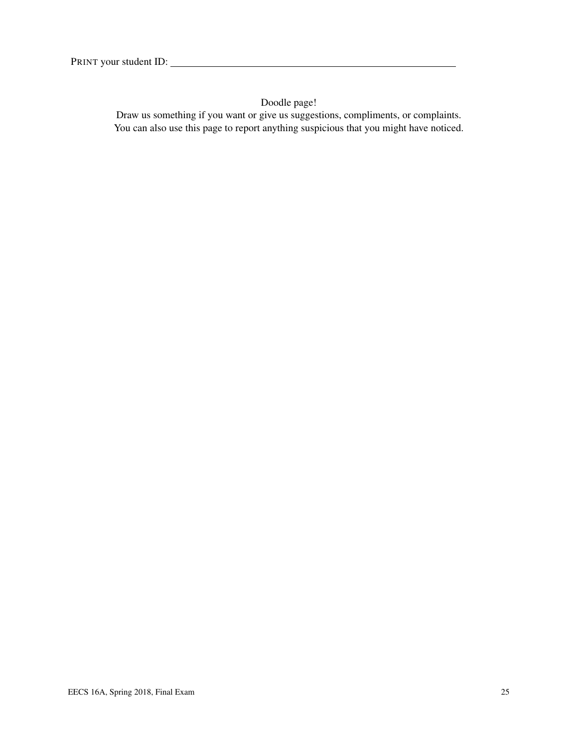Doodle page!

Draw us something if you want or give us suggestions, compliments, or complaints. You can also use this page to report anything suspicious that you might have noticed.